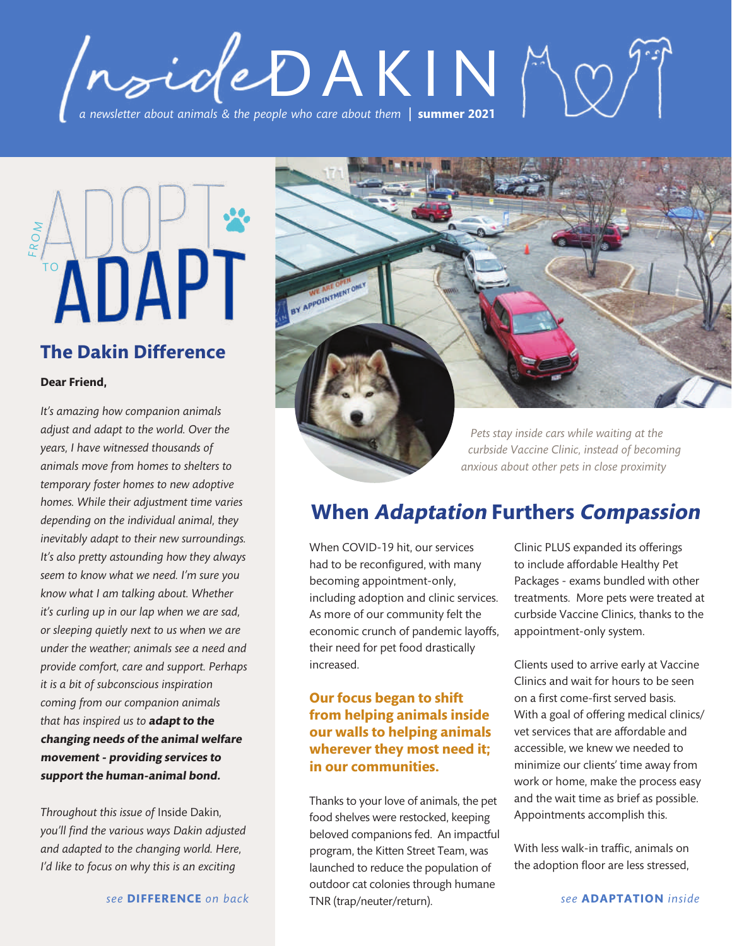# *a newsletter about animals & the people who care about them*  **| summer 2021** /nsideDAKINA2"



## **The Dakin Difference**

### **Dear Friend,**

*It's amazing how companion animals adjust and adapt to the world. Over the years, I have witnessed thousands of animals move from homes to shelters to temporary foster homes to new adoptive homes. While their adjustment time varies depending on the individual animal, they inevitably adapt to their new surroundings. It's also pretty astounding how they always seem to know what we need. I'm sure you know what I am talking about. Whether it's curling up in our lap when we are sad, or sleeping quietly next to us when we are under the weather; animals see a need and provide comfort, care and support. Perhaps it is a bit of subconscious inspiration coming from our companion animals that has inspired us to* **adapt to the changing needs of the animal welfare movement - providing services to support the human-animal bond.**

*Throughout this issue of* Inside Dakin*, you'll find the various ways Dakin adjusted and adapted to the changing world. Here, I'd like to focus on why this is an exciting*



*curbside Vaccine Clinic, instead of becoming anxious about other pets in close proximity*

## **When Adaptation Furthers Compassion**

When COVID-19 hit, our services had to be reconfigured, with many becoming appointment-only, including adoption and clinic services. As more of our community felt the economic crunch of pandemic layoffs, their need for pet food drastically increased.

### **Our focus began to shift from helping animals inside our walls to helping animals wherever they most need it; in our communities.**

Thanks to your love of animals, the pet food shelves were restocked, keeping beloved companions fed. An impactful program, the Kitten Street Team, was launched to reduce the population of outdoor cat colonies through humane TNR (trap/neuter/return).

Clinic PLUS expanded its offerings to include affordable Healthy Pet Packages - exams bundled with other treatments. More pets were treated at curbside Vaccine Clinics, thanks to the appointment-only system.

Clients used to arrive early at Vaccine Clinics and wait for hours to be seen on a first come-first served basis. With a goal of offering medical clinics/ vet services that are affordable and accessible, we knew we needed to minimize our clients' time away from work or home, make the process easy and the wait time as brief as possible. Appointments accomplish this.

With less walk-in traffic, animals on the adoption floor are less stressed,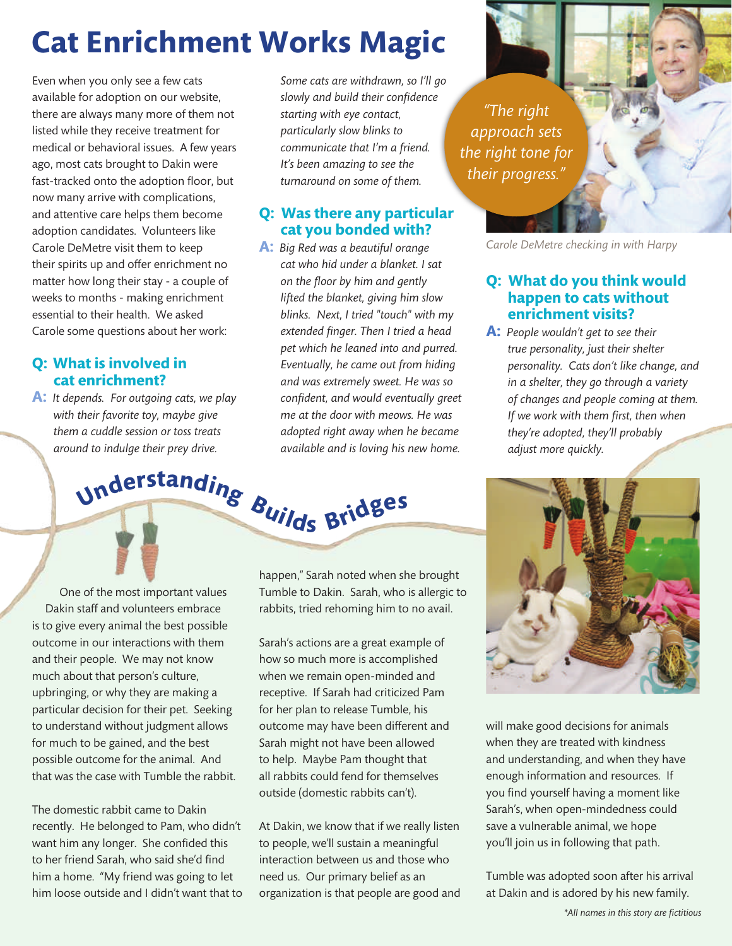# **Cat Enrichment Works Magic**

Even when you only see a few cats available for adoption on our website, there are always many more of them not listed while they receive treatment for medical or behavioral issues. A few years ago, most cats brought to Dakin were fast-tracked onto the adoption floor, but now many arrive with complications, and attentive care helps them become adoption candidates. Volunteers like Carole DeMetre visit them to keep their spirits up and offer enrichment no matter how long their stay - a couple of weeks to months - making enrichment essential to their health. We asked Carole some questions about her work:

## **Q: What is involved in cat enrichment?**

**A:** *It depends. For outgoing cats, we play with their favorite toy, maybe give them a cuddle session or toss treats around to indulge their prey drive.* 

One of the most important values Dakin staff and volunteers embrace **<sup>U</sup>nderstandin<sup>g</sup> <sup>B</sup>uild<sup>s</sup> <sup>B</sup>ridg<sup>e</sup><sup>s</sup>**

is to give every animal the best possible outcome in our interactions with them and their people. We may not know much about that person's culture, upbringing, or why they are making a particular decision for their pet. Seeking to understand without judgment allows for much to be gained, and the best possible outcome for the animal. And that was the case with Tumble the rabbit.

The domestic rabbit came to Dakin recently. He belonged to Pam, who didn't want him any longer. She confided this to her friend Sarah, who said she'd find him a home. "My friend was going to let him loose outside and I didn't want that to *Some cats are withdrawn, so I'll go slowly and build their confidence starting with eye contact, particularly slow blinks to communicate that I'm a friend. It's been amazing to see the turnaround on some of them.*

## **Q: Was there any particular cat you bonded with?**

**A:** *Big Red was a beautiful orange cat who hid under a blanket. I sat on the floor by him and gently lifted the blanket, giving him slow blinks. Next, I tried "touch" with my extended finger. Then I tried a head pet which he leaned into and purred. Eventually, he came out from hiding and was extremely sweet. He was so confident, and would eventually greet me at the door with meows. He was adopted right away when he became available and is loving his new home.* 

*"The right approach sets the right tone for their progress."*

*Carole DeMetre checking in with Harpy*

## **Q: What do you think would happen to cats without enrichment visits?**

**A:** *People wouldn't get to see their true personality, just their shelter personality. Cats don't like change, and in a shelter, they go through a variety of changes and people coming at them. If we work with them first, then when they're adopted, they'll probably adjust more quickly.*

happen," Sarah noted when she brought Tumble to Dakin. Sarah, who is allergic to rabbits, tried rehoming him to no avail.

Sarah's actions are a great example of how so much more is accomplished when we remain open-minded and receptive. If Sarah had criticized Pam for her plan to release Tumble, his outcome may have been different and Sarah might not have been allowed to help. Maybe Pam thought that all rabbits could fend for themselves outside (domestic rabbits can't).

At Dakin, we know that if we really listen to people, we'll sustain a meaningful interaction between us and those who need us. Our primary belief as an organization is that people are good and



will make good decisions for animals when they are treated with kindness and understanding, and when they have enough information and resources. If you find yourself having a moment like Sarah's, when open-mindedness could save a vulnerable animal, we hope you'll join us in following that path.

Tumble was adopted soon after his arrival at Dakin and is adored by his new family.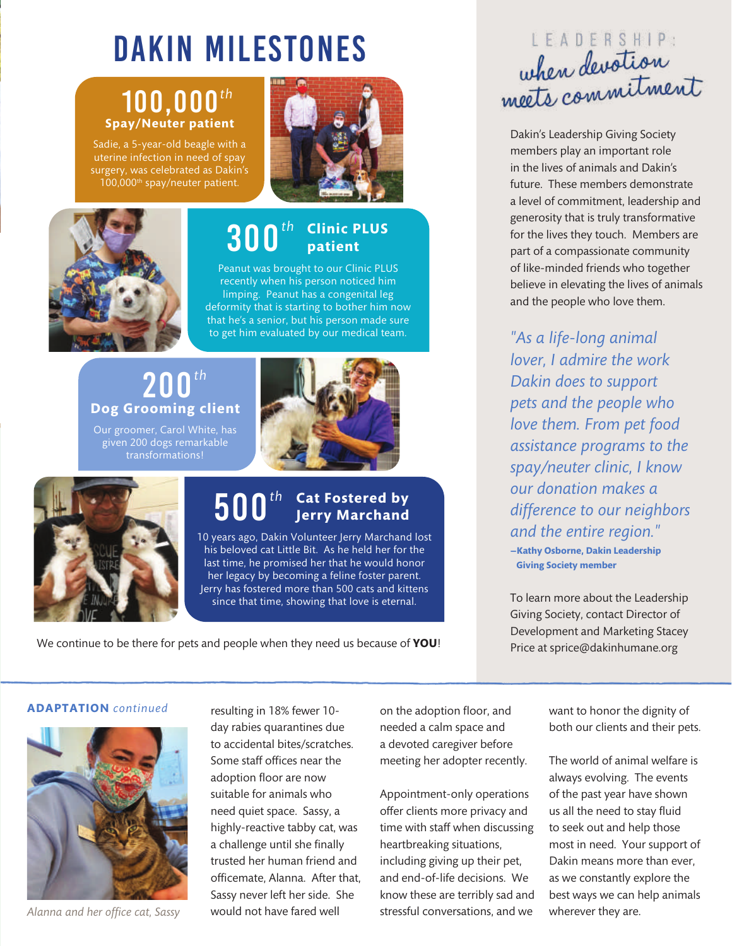# Dakin Milestones

# 100,000*th* **Spay/Neuter patient**

Sadie, a 5-year-old beagle with a uterine infection in need of spay surgery, was celebrated as Dakin's 100,000<sup>th</sup> spay/neuter patient.





# 300*th* **Clinic PLUS patient**

Peanut was brought to our Clinic PLUS recently when his person noticed him limping. Peanut has a congenital leg deformity that is starting to bother him now that he's a senior, but his person made sure to get him evaluated by our medical team.

# 200*th* **Dog Grooming client**

Our groomer, Carol White, has given 200 dogs remarkable transformations!



# 500*th* **Cat Fostered by Jerry Marchand**

10 years ago, Dakin Volunteer Jerry Marchand lost his beloved cat Little Bit. As he held her for the last time, he promised her that he would honor her legacy by becoming a feline foster parent. Jerry has fostered more than 500 cats and kittens since that time, showing that love is eternal.

We continue to be there for pets and people when they need us because of **YOU**!

# LEADERSHIP: when devotion. when always in ent

Dakin's Leadership Giving Society members play an important role in the lives of animals and Dakin's future. These members demonstrate a level of commitment, leadership and generosity that is truly transformative for the lives they touch. Members are part of a compassionate community of like-minded friends who together believe in elevating the lives of animals and the people who love them.

*"As a life-long animal lover, I admire the work Dakin does to support pets and the people who love them. From pet food assistance programs to the spay/neuter clinic, I know our donation makes a difference to our neighbors and the entire region."*  **—Kathy Osborne, Dakin Leadership Giving Society member**

To learn more about the Leadership Giving Society, contact Director of Development and Marketing Stacey Price at sprice@dakinhumane.org

### **ADAPTATION** *continued*



*Alanna and her office cat, Sassy*

resulting in 18% fewer 10 day rabies quarantines due to accidental bites/scratches. Some staff offices near the adoption floor are now suitable for animals who need quiet space. Sassy, a highly-reactive tabby cat, was a challenge until she finally trusted her human friend and officemate, Alanna. After that, Sassy never left her side. She would not have fared well

on the adoption floor, and needed a calm space and a devoted caregiver before meeting her adopter recently.

Appointment-only operations offer clients more privacy and time with staff when discussing heartbreaking situations, including giving up their pet, and end-of-life decisions. We know these are terribly sad and stressful conversations, and we

want to honor the dignity of both our clients and their pets.

The world of animal welfare is always evolving. The events of the past year have shown us all the need to stay fluid to seek out and help those most in need. Your support of Dakin means more than ever, as we constantly explore the best ways we can help animals wherever they are.